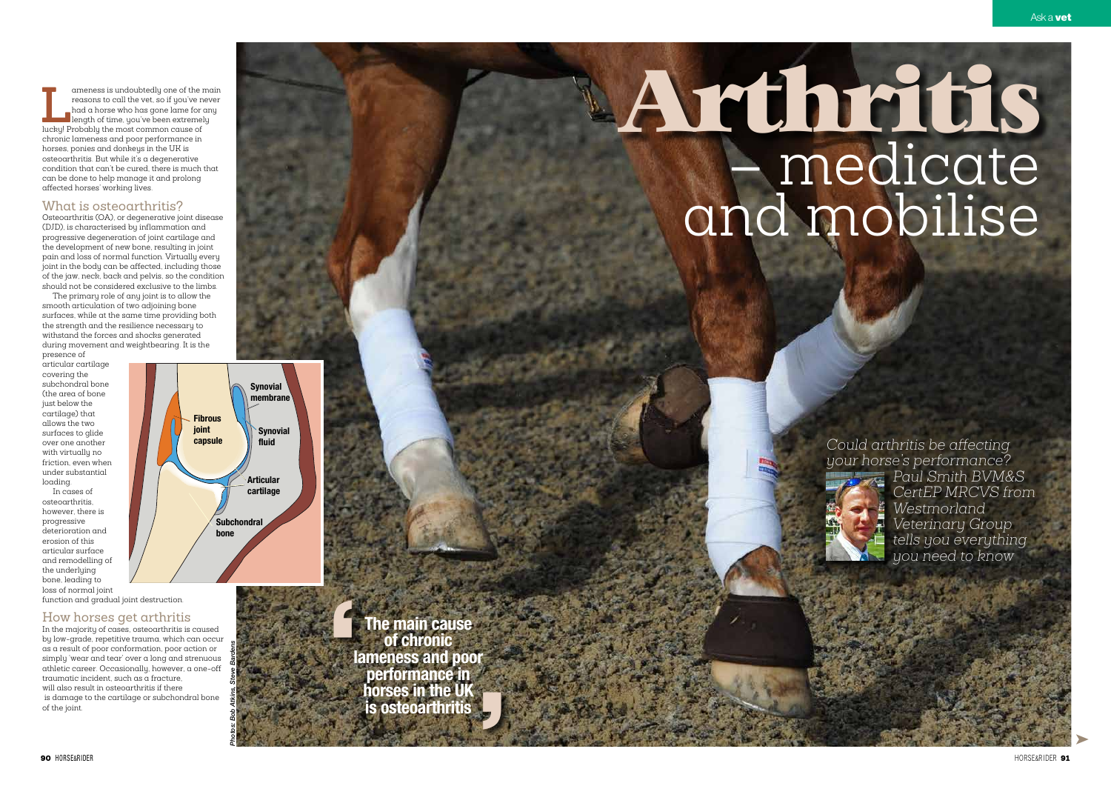➤

**Lameness is undoubtedly one of the main** reasons to call the vet, so if you've never had a horse who has gone lame for any length of time, you've been extremely lucky! Probably the most common cause of reasons to call the vet, so if you've never had a horse who has gone lame for any length of time, you've been extremely chronic lameness and poor performance in horses, ponies and donkeys in the UK is osteoarthritis. But while it's a degenerative condition that can't be cured, there is much that can be done to help manage it and prolong affected horses' working lives.

## What is osteoarthritis?

Osteoarthritis (OA), or degenerative joint disease (DJD), is characterised by inflammation and progressive degeneration of joint cartilage and the development of new bone, resulting in joint pain and loss of normal function. Virtually every joint in the body can be affected, including those of the jaw, neck, back and pelvis, so the condition should not be considered exclusive to the limbs.

The primary role of any joint is to allow the smooth articulation of two adjoining bone surfaces, while at the same time providing both the strength and the resilience necessary to withstand the forces and shocks generated during movement and weightbearing. It is the presence of

> C<br>S Fre **The main cause of chronic lameness and poor performance in horses in the UK is osteoarthritis**

articular cartilage covering the subchondral bone (the area of bone just below the cartilage) that allows the two surfaces to glide over one another with virtually no friction, even when under substantial loading.

In cases of osteoarthritis, however, there is progressive deterioration and erosion of this articular surface and remodelling of the underlying bone, leading to loss of normal joint

function and gradual joint destruction.

# How horses get arthritis

In the majority of cases, osteoarthritis is caused by low-grade, repetitive trauma, which can occur as a result of poor conformation, poor action or simply 'wear and tear' over a long and strenuous athletic career. Occasionally, however, a one-off traumatic incident, such as a fracture, will also result in osteoarthritis if there is damage to the cartilage or subchondral bone of the joint.

# **Arthritis** – medicate and mobilise

*Photos: Bob Atkins, Steve Bardens*



*Could arthritis be affecting your horse's performance?* 



*Paul Smith BVM&S CertEP MRCVS from Westmorland Veterinary Group tells you everything you need to know*

90 HORSE&RIDER 91 HORSE&RIDER 91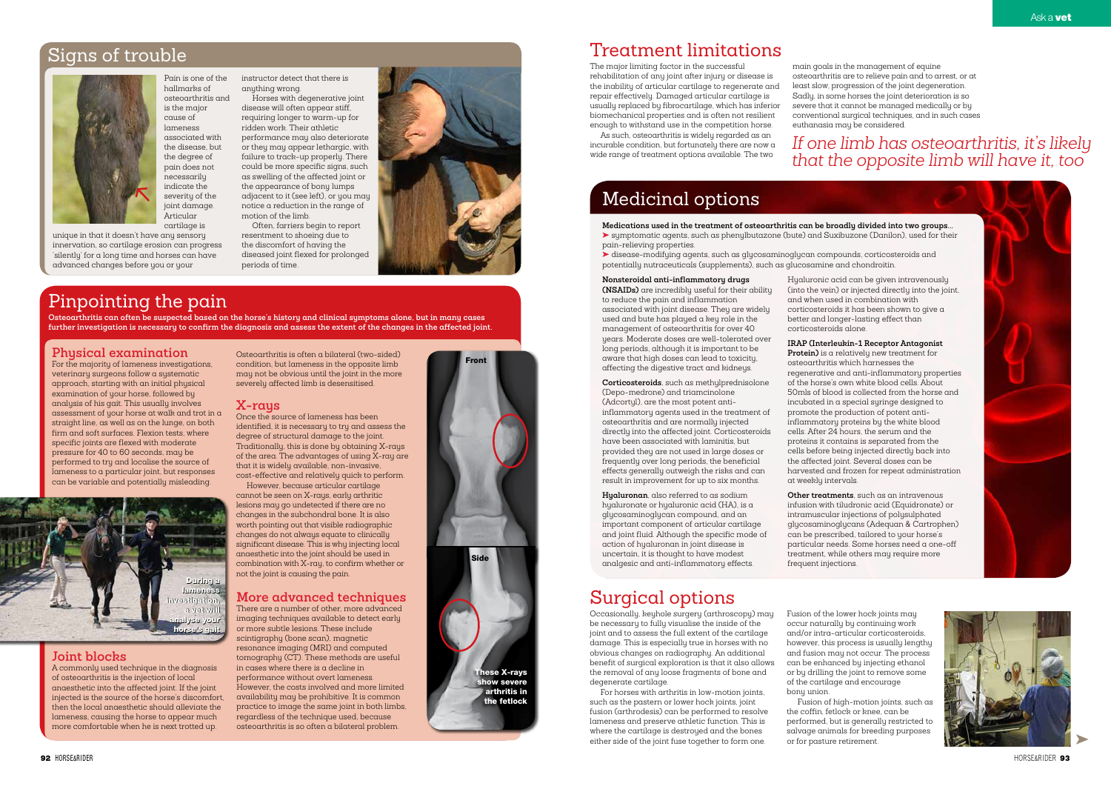

is the major cause of lameness associated with the disease, but the degree of pain does not necessarily indicate the severity of the joint damage. **Articular** 



hallmarks of

#### Pain is one of the osteoarthritis and instructor detect that there is anything wrong.

cartilage is unique in that it doesn't have any sensory innervation, so cartilage erosion can progress 'silently' for a long time and horses can have advanced changes before you or your

Horses with degenerative joint disease will often appear stiff, requiring longer to warm-up for ridden work. Their athletic performance may also deteriorate

or they may appear lethargic, with failure to track-up properly. There could be more specific signs, such as swelling of the affected joint or the appearance of bony lumps adjacent to it (see left), or you may notice a reduction in the range of motion of the limb.

Often, farriers begin to report resentment to shoeing due to the discomfort of having the diseased joint flexed for prolonged periods of time.



# Treatment limitations

The major limiting factor in the successful rehabilitation of any joint after injury or disease is the inability of articular cartilage to regenerate and repair effectively. Damaged articular cartilage is usually replaced by fibrocartilage, which has inferior biomechanical properties and is often not resilient enough to withstand use in the competition horse.

As such, osteoarthritis is widely regarded as an incurable condition, but fortunately there are now a wide range of treatment options available. The two

main goals in the management of equine osteoarthritis are to relieve pain and to arrest, or at least slow, progression of the joint degeneration. Sadly, in some horses the joint deterioration is so severe that it cannot be managed medically or by conventional surgical techniques, and in such cases euthanasia may be considered.

# Surgical options

Occasionally, keyhole surgery (arthroscopy) may be necessary to fully visualise the inside of the joint and to assess the full extent of the cartilage damage. This is especially true in horses with no obvious changes on radiography. An additional benefit of surgical exploration is that it also allows the removal of any loose fragments of bone and degenerate cartilage.

For horses with arthritis in low-motion joints, such as the pastern or lower hock joints, joint fusion (arthrodesis) can be performed to resolve lameness and preserve athletic function. This is where the cartilage is destroyed and the bones either side of the joint fuse together to form one.

Fusion of the lower hock joints may occur naturally by continuing work and/or intra-articular corticosteroids, however, this process is usually lengthy and fusion may not occur. The process can be enhanced by injecting ethanol or by drilling the joint to remove some of the cartilage and encourage bony union.

Fusion of high-motion joints, such as the coffin, fetlock or knee, can be performed, but is generally restricted to salvage animals for breeding purposes

or for pasture retirement.

# Pinpointing the pain

**Osteoarthritis can often be suspected based on the horse's history and clinical symptoms alone, but in many cases further investigation is necessary to confirm the diagnosis and assess the extent of the changes in the affected joint.**

#### **Physical examination**

For the majority of lameness investigations, veterinary surgeons follow a systematic approach, starting with an initial physical examination of your horse, followed by analysis of his gait. This usually involves assessment of your horse at walk and trot in a straight line, as well as on the lunge, on both firm and soft surfaces. Flexion tests, where specific joints are flexed with moderate pressure for 40 to 60 seconds, may be performed to try and localise the source of lameness to a particular joint, but responses can be variable and potentially misleading.

#### **Joint blocks**

A commonly used technique in the diagnosis of osteoarthritis is the injection of local anaesthetic into the affected joint. If the joint injected is the source of the horse's discomfort, then the local anaesthetic should alleviate the lameness, causing the horse to appear much more comfortable when he is next trotted up.

Osteoarthritis is often a bilateral (two-sided) condition, but lameness in the opposite limb may not be obvious until the joint in the more severely affected limb is desensitised.

#### **X-rays**

Once the source of lameness has been identified, it is necessary to try and assess the degree of structural damage to the joint. Traditionally, this is done by obtaining X-rays of the area. The advantages of using X-ray are that it is widely available, non-invasive,

cost-effective and relatively quick to perform. However, because articular cartilage cannot be seen on X-rays, early arthritic lesions may go undetected if there are no changes in the subchondral bone. It is also worth pointing out that visible radiographic changes do not always equate to clinically significant disease. This is why injecting local anaesthetic into the joint should be used in combination with X-ray, to confirm whether or not the joint is causing the pain.

#### **More advanced techniques**

There are a number of other, more advanced imaging techniques available to detect early or more subtle lesions. These include scintigraphy (bone scan), magnetic resonance imaging (MRI) and computed tomography (CT). These methods are useful in cases where there is a decline in performance without overt lameness. However, the costs involved and more limited availability may be prohibitive. It is common practice to image the same joint in both limbs, regardless of the technique used, because osteoarthritis is so often a bilateral problem.

# *If one limb has osteoarthritis, it's likely that the opposite limb will have it, too*

# Medicinal options

**Medications used in the treatment of osteoarthritis can be broadly divided into two groups...** ➤ symptomatic agents, such as phenylbutazone (bute) and Suxibuzone (Danilon), used for their pain-relieving properties.

➤ disease-modifying agents, such as glycosaminoglycan compounds, corticosteroids and potentially nutraceuticals (supplements), such as glucosamine and chondroitin.

#### **Nonsteroidal anti-inflammatory drugs**

**(NSAIDs)** are incredibly useful for their ability to reduce the pain and inflammation associated with joint disease. They are widely used and bute has played a key role in the management of osteoarthritis for over 40 years. Moderate doses are well-tolerated over long periods, although it is important to be aware that high doses can lead to toxicity, affecting the digestive tract and kidneys.

**Corticosteroids**, such as methylprednisolone (Depo-medrone) and triamcinolone (Adcortyl), are the most potent antiinflammatory agents used in the treatment of osteoarthritis and are normally injected directly into the affected joint. Corticosteroids have been associated with laminitis, but provided they are not used in large doses or frequently over long periods, the beneficial effects generally outweigh the risks and can result in improvement for up to six months.

**Hyaluronan**, also referred to as sodium hyaluronate or hyaluronic acid (HA), is a glycosaminoglycan compound, and an important component of articular cartilage and joint fluid. Although the specific mode of action of hyaluronan in joint disease is uncertain, it is thought to have modest analgesic and anti-inflammatory effects.

Hyaluronic acid can be given intravenously (into the vein) or injected directly into the joint, and when used in combination with corticosteroids it has been shown to give a better and longer-lasting effect than

corticosteroids alone.

**IRAP (Interleukin-1 Receptor Antagonist Protein)** is a relatively new treatment for osteoarthritis which harnesses the regenerative and anti-inflammatory properties of the horse's own white blood cells. About 50mls of blood is collected from the horse and incubated in a special syringe designed to promote the production of potent antiinflammatory proteins by the white blood cells. After 24 hours, the serum and the proteins it contains is separated from the cells before being injected directly back into the affected joint. Several doses can be harvested and frozen for repeat administration



at weekly intervals.

**Other treatments**, such as an intravenous infusion with tiludronic acid (Equidronate) or intramuscular injections of polysulphated glycosaminoglycans (Adequan & Cartrophen) can be prescribed, tailored to your horse's particular needs. Some horses need a one-off treatment, while others may require more frequent injections.





# Signs of trouble